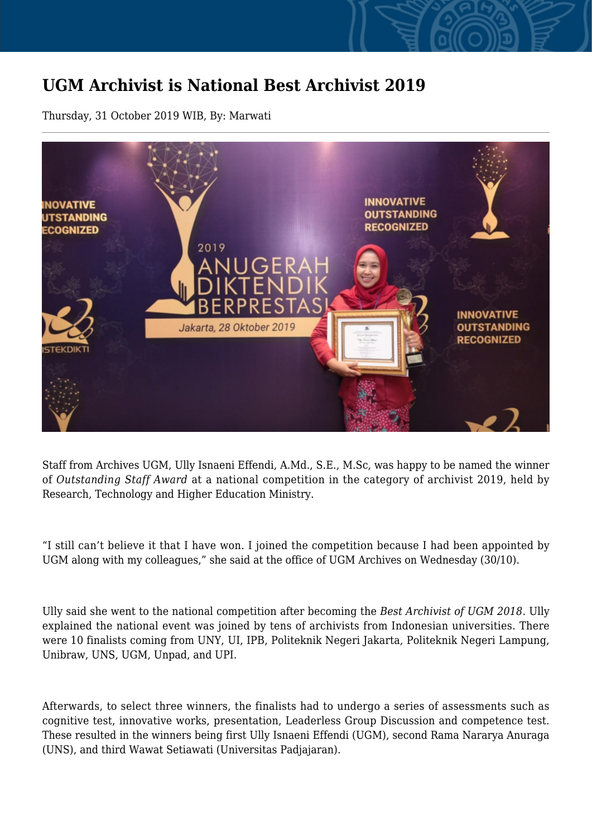## **UGM Archivist is National Best Archivist 2019**

Thursday, 31 October 2019 WIB, By: Marwati



Staff from Archives UGM, Ully Isnaeni Effendi, A.Md., S.E., M.Sc, was happy to be named the winner of *Outstanding Staff Award* at a national competition in the category of archivist 2019, held by Research, Technology and Higher Education Ministry.

"I still can't believe it that I have won. I joined the competition because I had been appointed by UGM along with my colleagues," she said at the office of UGM Archives on Wednesday (30/10).

Ully said she went to the national competition after becoming the *Best Archivist of UGM 2018*. Ully explained the national event was joined by tens of archivists from Indonesian universities. There were 10 finalists coming from UNY, UI, IPB, Politeknik Negeri Jakarta, Politeknik Negeri Lampung, Unibraw, UNS, UGM, Unpad, and UPI.

Afterwards, to select three winners, the finalists had to undergo a series of assessments such as cognitive test, innovative works, presentation, Leaderless Group Discussion and competence test. These resulted in the winners being first Ully Isnaeni Effendi (UGM), second Rama Nararya Anuraga (UNS), and third Wawat Setiawati (Universitas Padjajaran).